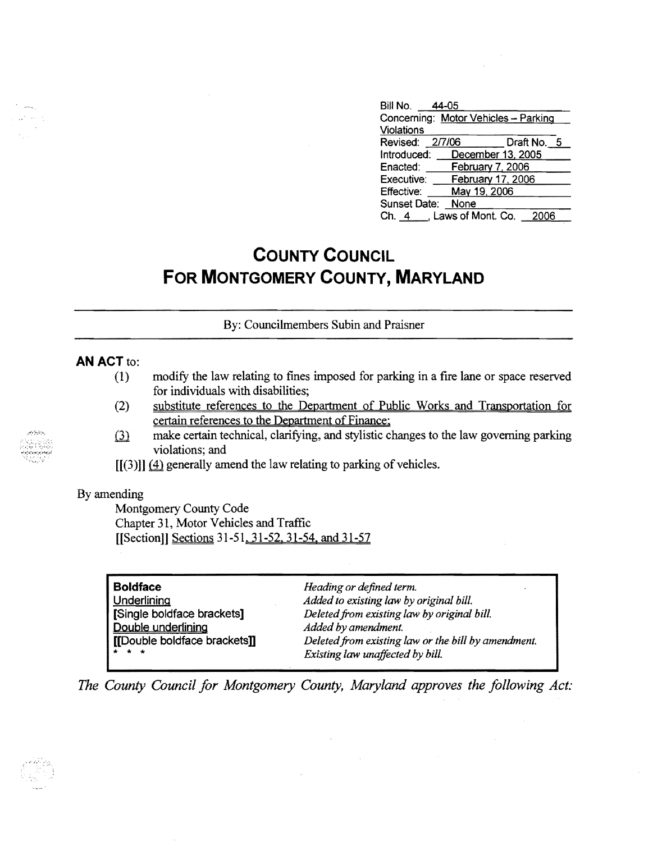| Bill No. 44-05                       |                                   |  |
|--------------------------------------|-----------------------------------|--|
| Concerning: Motor Vehicles - Parking |                                   |  |
| Violations                           |                                   |  |
| Revised: 2/7/06                      | Draft No. 5                       |  |
| Introduced:                          | December 13, 2005                 |  |
| Enacted:                             | February 7, 2006                  |  |
| Executive:                           | February 17, 2006                 |  |
| <b>Effective:</b>                    | May 19, 2006                      |  |
| <b>Sunset Date:</b>                  | None                              |  |
|                                      | Ch. 4 . Laws of Mont. Co.<br>2006 |  |

# **COUNTY COUNCIL FOR MONTGOMERY COUNTY, MARYLAND**

By: Councilmembers Subin and Praisner

### **AN ACT to:**

- (1) modify the law relating to fines imposed for parking in a fire lane or space reserved for individuals with disabilities;
- (2) substitute references to the Department of Public Works and Transportation for certain references to the Department of Finance;
- make certain technical, clarifying, and stylistic changes to the law governing parking  $(3)$ violations; and
- $[[(3)]] (4)$  generally amend the law relating to parking of vehicles.

### By amending

Montgomery County Code Chapter 31, Motor Vehicles and Traffic [[Section]] Sections 31-51, 31-52, 31-54, and 31-57

| <b>Boldface</b>              | Heading or defined term.<br>. .                     |
|------------------------------|-----------------------------------------------------|
| Underlining                  | Added to existing law by original bill.             |
| [Single boldface brackets]   | Deleted from existing law by original bill.         |
| Double underlining           | Added by amendment.                                 |
| [[Double boldface brackets]] | Deleted from existing law or the bill by amendment. |
| $\star$ $\star$ $\star$      | Existing law unaffected by bill.                    |

*The County Council for Montgomery County, Maryland approves the following Act:* 

 $\sim$ 

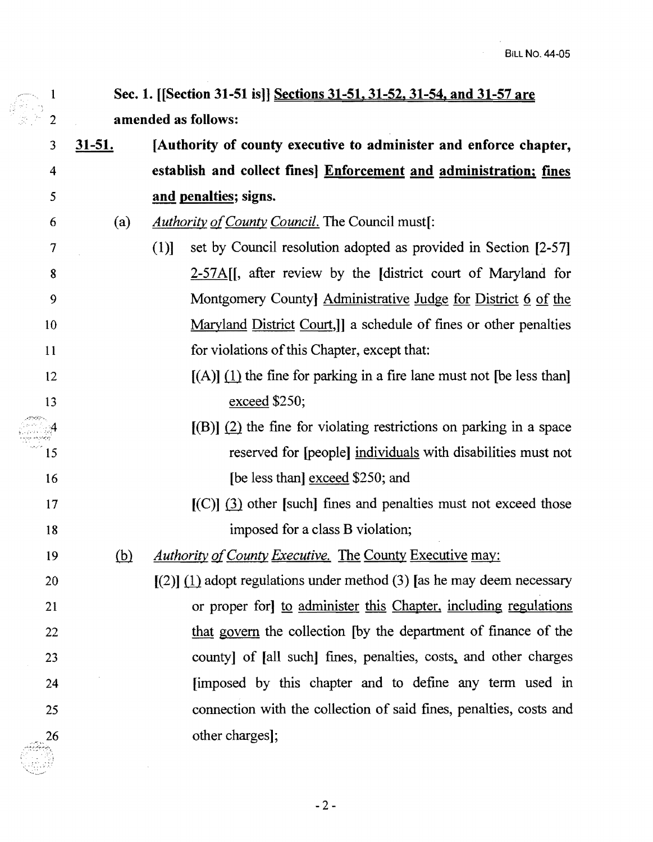1 Sec. 1. [[Section 31-51 is]] Sections 31-51. 31-52. 31-54. and 31-57 are 2 amended as follows:

3 31-51. [Authority of county executive to administer and enforce chapter, 4 establish and collect fines] Enforcement and administration; fines and penalties; signs.

5

10

15

20

25

- 7 (1)] set by Council resolution adopted as provided in Section [2-57] 8 2-57 A. [], after review by the [district court of Maryland for 9 Montgomery County Administrative Judge for District 6 of the Maryland District Court,]] a schedule of fines or other penalties 11 for violations of this Chapter, except that:
- $[(A)]$  (1) the fine for parking in a fire lane must not [be less than] 13 exceed \$250;
- $[(B)]$  (2) the fine for violating restrictions on parking in a space reserved for [people] individuals with disabilities must not 16 **IDE** less than <u>exceed</u> \$250; and
- $[(C)]$  (3) other [such] fines and penalties must not exceed those 18 imposed for a class B violation;
- 19 (b) *Authority of County Executive.* The County Executive may:

 $[(2)]$  (1) adopt regulations under method (3) [as he may deem necessary 21 or proper for] to administer this Chapter, including regulations 22 that govern the collection [by the department of finance of the 23 county] of [all such] fines, penalties, costs, and other charges 24 *Imposed by this chapter and to define any term used in* connection with the collection of said fines, penalties, costs and 26 other charges];

<sup>6 (</sup>a) *Authority gfCounty Council.* The Council must[: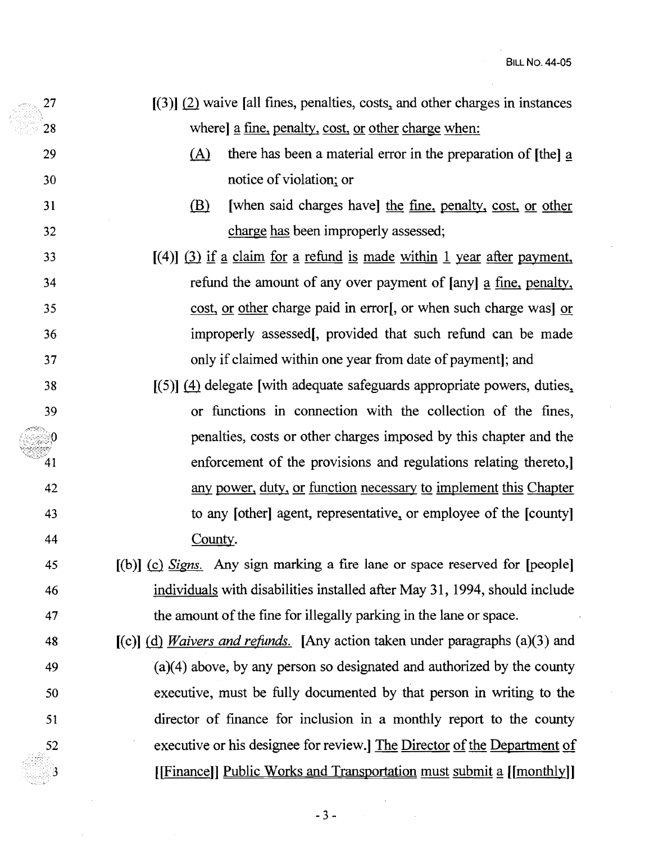- $[3]$   $[2]$  waive [all fines, penalties, costs, and other charges in instances 28 where a fine, penalty, cost, or other charge when:
- 29 (A) there has been a material error in the preparation of Ithel a 30 notice of violation; or
- 31 **(B)** [when said charges have] the fine, penalty, cost, or other 32 charge has been improperly assessed;
- $[4]$   $[3]$  if  $\alpha$  claim for  $\alpha$  refund is made within 1 year after payment, 34 refund the amount of any over payment of [any] a fine, penalty, 35 cost, or other charge paid in error[, or when such charge was] or 36 improperly assessed[, provided that such refund can be made 37 only if claimed within one year from date of payment]; and
- 38 [(5)] (4) delegate [with adequate safeguards appropriate powers, duties, 39 or functions in connection with the collection of the fines, penalties, costs or other charges imposed by this chapter and the enforcement of the provisions and regulations relating thereto,] 42 any power, duty, or function necessary to implement this Chapter 43 to any [other] agent, representative, or employee of the [county] 44 County.
- 45 [(b)] (£! *Signs.* Any sign marking a fue lane or space reserved for [people] 46 individuals with disabilities installed after May 31, 1994, should include 47 the amount of the fine for illegally parking in the lane or space.
- 48 [(c)] @ *Waivers and refunds.* [Any action taken under paragraphs (a)(3) and 49 (a)(4) above, by any person so designated and authorized by the county 50 executive, must be fully documented by that person in writing to the 51 director of fmance for inclusion in a monthly report to the county executive or his designee for review.] The Director of the Department of  $[|Finance|]$  Public Works and Transportation must submit a  $[|month|]$

52

்0

41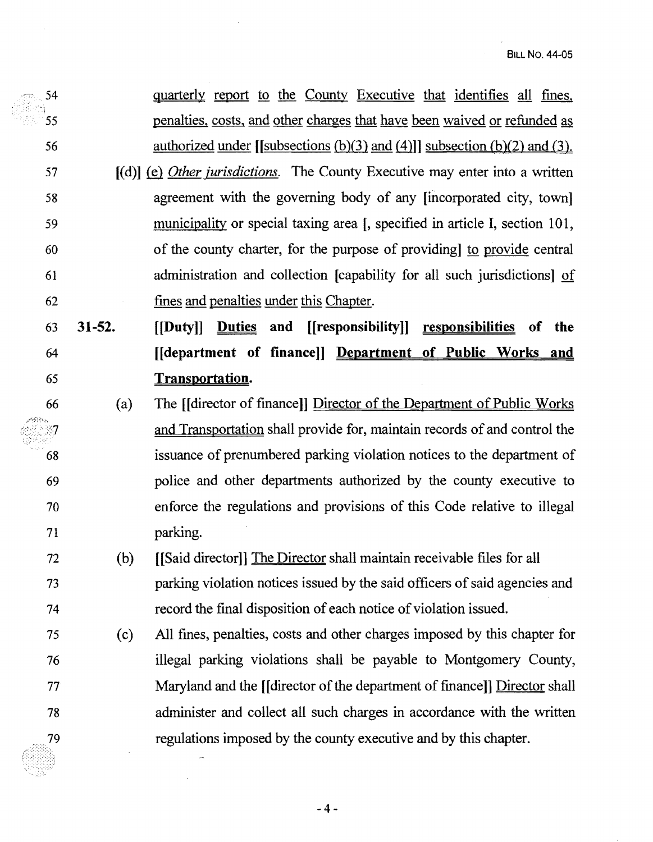| 54 |            | <u>quarterly report to the County Executive that identifies all fines</u> ,            |
|----|------------|----------------------------------------------------------------------------------------|
| 55 |            | penalties, costs, and other charges that have been waived or refunded as               |
| 56 |            | <u>authorized under [[subsections (b)(3) and (4)]] subsection (b)(2) and (3).</u>      |
| 57 |            | $[(d)]$ (e) <i>Other jurisdictions</i> . The County Executive may enter into a written |
| 58 |            | agreement with the governing body of any [incorporated city, town]                     |
| 59 |            | municipality or special taxing area [, specified in article I, section 101,            |
| 60 |            | of the county charter, for the purpose of providing to provide central                 |
| 61 |            | administration and collection [capability for all such jurisdictions] of               |
| 62 |            | fines and penalties under this Chapter.                                                |
| 63 | $31 - 52.$ | [[Duty]] Duties and [[responsibility]] responsibilities<br>of the                      |
| 64 |            | [[department of finance]] Department of Public Works and                               |
| 65 |            | Transportation.                                                                        |
| 66 | (a)        | The [Idirector of finance]] Director of the Department of Public Works                 |
|    |            | and Transportation shall provide for, maintain records of and control the              |
| 68 |            | issuance of prenumbered parking violation notices to the department of                 |
| 69 |            | police and other departments authorized by the county executive to                     |
| 70 |            | enforce the regulations and provisions of this Code relative to illegal                |
| 71 |            | parking.                                                                               |
| 72 | (b)        | [[Said director]] The Director shall maintain receivable files for all                 |
| 73 |            | parking violation notices issued by the said officers of said agencies and             |
| 74 |            | record the final disposition of each notice of violation issued.                       |
| 75 | (c)        | All fines, penalties, costs and other charges imposed by this chapter for              |
| 76 |            | illegal parking violations shall be payable to Montgomery County,                      |
| 77 |            | Maryland and the <i>[[director of the department of finance]]</i> Director shall       |
| 78 |            | administer and collect all such charges in accordance with the written                 |
| 79 |            | regulations imposed by the county executive and by this chapter.                       |

 $-4-$ 

 $\overline{a}$ 

 $\ddot{\phantom{a}}$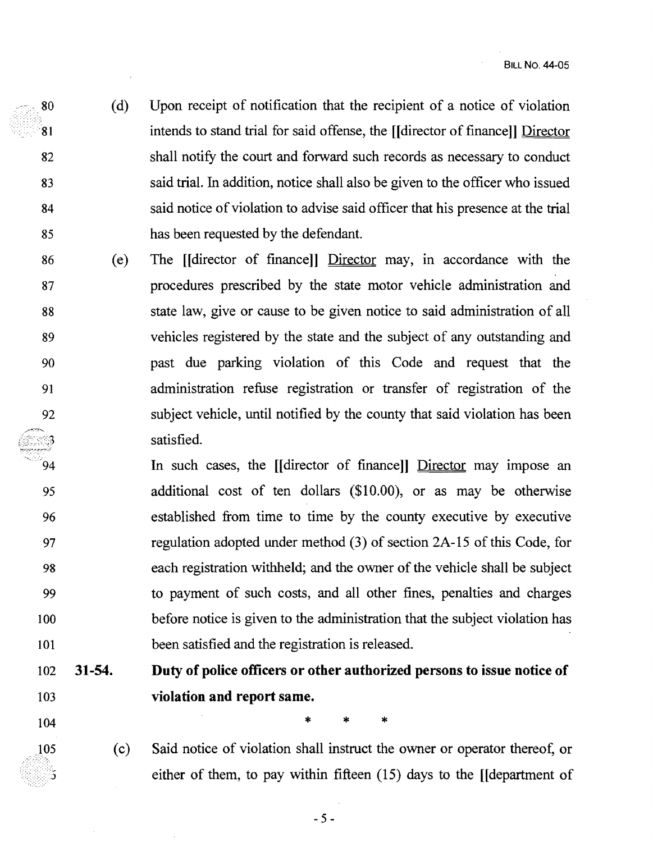- (d) Upon receipt of notification that the recipient of a notice of violation 80 intends to stand trial for said offense, the [[director of finance]] Director 81 82 shall notify the court and forward such records as necessary to conduct 83 said trial. In addition, notice shall also be given to the officer who issued 84 said notice of violation to advise said officer that his presence at the trial 85 has been requested by the defendant.
- 86 (e) The [[director of fmance]] Director may, m accordance with the 87 procedures prescribed by the state motor vehicle administration and 88 state law, give or cause to be given notice to said administration of all 89 vehicles registered by the state and the subject of any outstanding and 90 past due parking violation of this Code and request that the 91 administration refuse registration or transfer of registration of the 92 subject vehicle, until notified by the county that said violation has been satisfied.
- In such cases, the [[director of fmance]] Director may impose an 94 95 additional cost of ten dollars (\$10.00), or as may be otherwise 96 established from time to time by the county executive by executive 97 regulation adopted under method (3) of section 2A-15 of this Code, for 98 each registration withheld; and the owner of the vehicle shall be subject 99 to payment of such costs, and all other fines, penalties and charges 100 before notice is given to the administration that the subject violation has 101 been satisfied and the registration is released.

## 102 **31-54. Duty of police officers or other authorized persons to issue notice of**  103 **violation and report same.**

- $104$  \* \* \*
- 105
- (c) Said notice of violation shall instruct the owner or operator thereof, or either of them, to pay within fifteen (15) days to the [[department of

 $-5 -$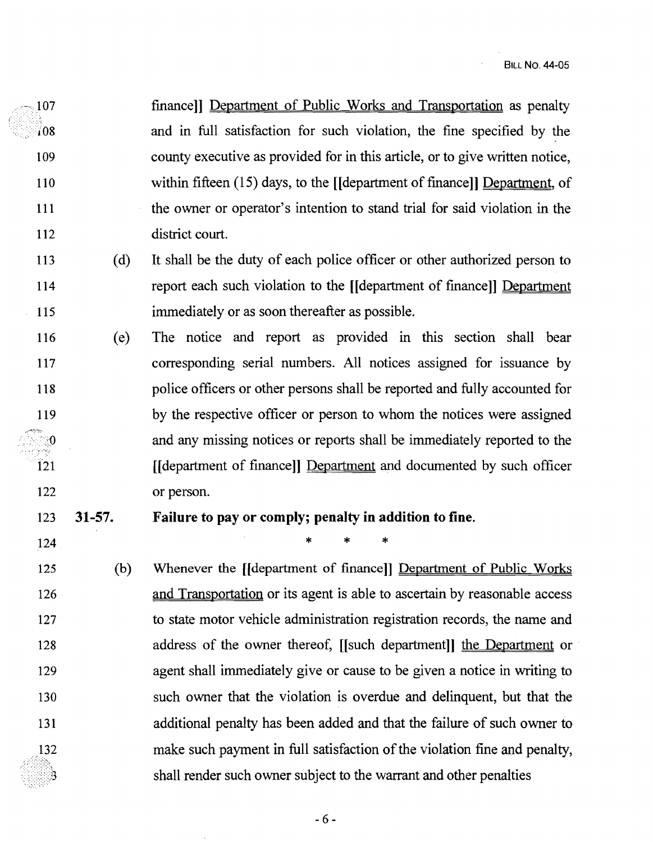finance]] Department of Public Works and Transportation as penalty in finance in Department of Public Works and Transportation as penalty ··>108 and in full satisfaction for such violation, the fine specified by the 109 county executive as provided for in this article, or to give written notice, 110 within fifteen (15) days, to the [[department of finance]] Department, of 111 the owner or operator's intention to stand trial for said violation in the 112 district court.

- 113 (d) It shall be the duty of each police officer or other authorized person to 114 report each such violation to the [[department of finance]] Department 115 immediately or as soon thereafter as possible.
- 116 ( e) The notice and report as provided in this section shall bear 117 corresponding serial numbers. All notices assigned for issuance by 118 police officers or other persons shall be reported and fully accounted for 119 by the respective officer or person to whom the notices were assigned the andm any missing notices or reports shall be immediately reported to the 121 **I** [[department of finance]] Department and documented by such officer 122 or person.

## 123 31-57. Failure to payor comply; penalty in addition to fine.

 $124$  \* \* \*

125 (b) Whenever the [[department of finance]] Department of Public Works 126 and Transportation or its agent is able to ascertain by reasonable access 127 to state motor vehicle administration registration records, the name and 128 address of the owner thereof, [[such department]] the Department or 129 agent shall immediately give or cause to be given a notice in writing to 130 such owner that the violation is overdue and delinquent, but that the 131 additional penalty has been added and that the failure of such owner to 132 make such payment in full satisfaction of the violation fine and penalty, shall render such owner subject to the warrant and other penalties